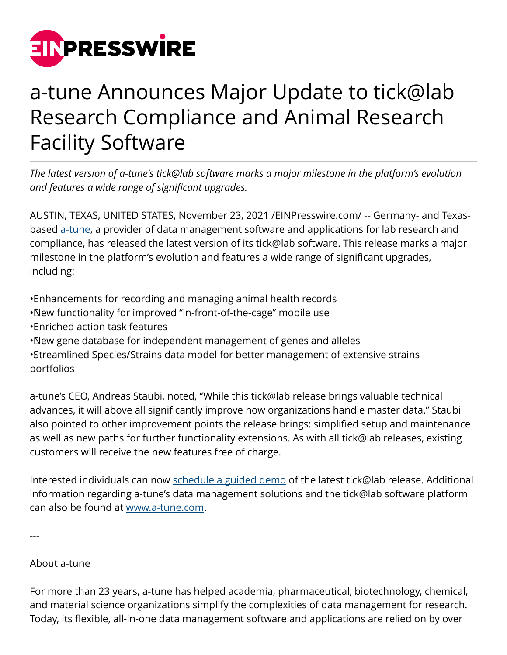

## a-tune Announces Major Update to tick@lab Research Compliance and Animal Research Facility Software

*The latest version of a-tune's tick@lab software marks a major milestone in the platform's evolution and features a wide range of significant upgrades.*

AUSTIN, TEXAS, UNITED STATES, November 23, 2021 [/EINPresswire.com/](http://www.einpresswire.com) -- Germany- and Texasbased [a-tune](https://www.a-tune.com/), a provider of data management software and applications for lab research and compliance, has released the latest version of its tick@lab software. This release marks a major milestone in the platform's evolution and features a wide range of significant upgrades, including:

• Enhancements for recording and managing animal health records

- • New functionality for improved "in-front-of-the-cage" mobile use
- • Enriched action task features
- • New gene database for independent management of genes and alleles

• Streamlined Species/Strains data model for better management of extensive strains portfolios

a-tune's CEO, Andreas Staubi, noted, "While this tick@lab release brings valuable technical advances, it will above all significantly improve how organizations handle master data." Staubi also pointed to other improvement points the release brings: simplified setup and maintenance as well as new paths for further functionality extensions. As with all tick@lab releases, existing customers will receive the new features free of charge.

Interested individuals can now [schedule a guided demo](https://www.a-tune.com/schedule-a-demo-today/) of the latest tick@lab release. Additional information regarding a-tune's data management solutions and the tick@lab software platform can also be found at [www.a-tune.com](https://www.a-tune.com/).

---

## About a-tune

For more than 23 years, a-tune has helped academia, pharmaceutical, biotechnology, chemical, and material science organizations simplify the complexities of data management for research. Today, its flexible, all-in-one data management software and applications are relied on by over